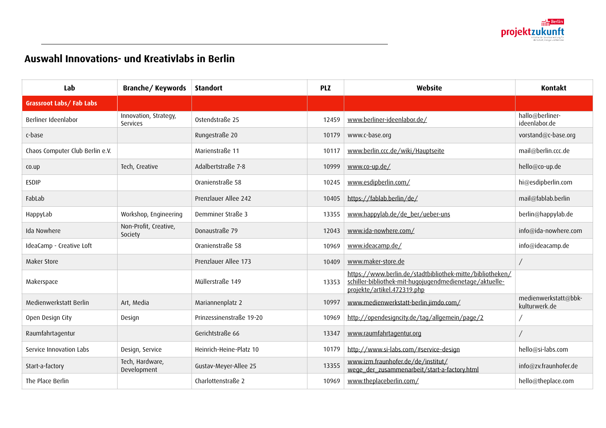## **Auswahl Innovations- und Kreativlabs in Berlin**

| Lab                             | Branche/Keywords                         | <b>Standort</b>          | <b>PLZ</b> | Website                                                                                                                                             | <b>Kontakt</b>                        |
|---------------------------------|------------------------------------------|--------------------------|------------|-----------------------------------------------------------------------------------------------------------------------------------------------------|---------------------------------------|
| <b>Grassroot Labs/Fab Labs</b>  |                                          |                          |            |                                                                                                                                                     |                                       |
| Berliner Ideenlabor             | Innovation, Strategy,<br><b>Services</b> | Ostendstraße 25          | 12459      | www.berliner-ideenlabor.de/                                                                                                                         | hallo@berliner-<br>ideenlabor.de      |
| c-base                          |                                          | Rungestraße 20           | 10179      | www.c-base.org                                                                                                                                      | vorstand@c-base.org                   |
| Chaos Computer Club Berlin e.V. |                                          | Marienstraße 11          | 10117      | www.berlin.ccc.de/wiki/Hauptseite                                                                                                                   | mail@berlin.ccc.de                    |
| CO.UD                           | Tech, Creative                           | Adalbertstraße 7-8       | 10999      | www.co-up.de/                                                                                                                                       | hello@co-up.de                        |
| <b>ESDIP</b>                    |                                          | Oranienstraße 58         | 10245      | www.esdipberlin.com/                                                                                                                                | hi@esdipberlin.com                    |
| FabLab                          |                                          | Prenzlauer Allee 242     | 10405      | https://fablab.berlin/de/                                                                                                                           | mail@fablab.berlin                    |
| HappyLab                        | Workshop, Engineering                    | Demminer Straße 3        | 13355      | www.happylab.de/de_ber/ueber-uns                                                                                                                    | berlin@happylab.de                    |
| Ida Nowhere                     | Non-Profit, Creative,<br>Society         | Donaustraße 79           | 12043      | www.ida-nowhere.com/                                                                                                                                | info@ida-nowhere.com                  |
| IdeaCamp - Creative Loft        |                                          | Oranienstraße 58         | 10969      | www.ideacamp.de/                                                                                                                                    | info@ideacamp.de                      |
| Maker Store                     |                                          | Prenzlauer Allee 173     | 10409      | www.maker-store.de                                                                                                                                  |                                       |
| Makerspace                      |                                          | Müllerstraße 149         | 13353      | https://www.berlin.de/stadtbibliothek-mitte/bibliotheken/<br>schiller-bibliothek-mit-hugojugendmedienetage/aktuelle-<br>projekte/artikel.472319.php |                                       |
| Medienwerkstatt Berlin          | Art, Media                               | Mariannenplatz 2         | 10997      | www.medienwerkstatt-berlin.jimdo.com/                                                                                                               | medienwerkstatt@bbk-<br>kulturwerk.de |
| Open Design City                | Design                                   | Prinzessinenstraße 19-20 | 10969      | http://opendesigncity.de/tag/allgemein/page/2                                                                                                       |                                       |
| Raumfahrtagentur                |                                          | Gerichtstraße 66         | 13347      | www.raumfahrtagentur.org                                                                                                                            |                                       |
| Service Innovation Labs         | Design, Service                          | Heinrich-Heine-Platz 10  | 10179      | http://www.si-labs.com/#service-design                                                                                                              | hello@si-labs.com                     |
| Start-a-factory                 | Tech, Hardware,<br>Development           | Gustav-Meyer-Allee 25    | 13355      | www.izm.fraunhofer.de/de/institut/<br>wege der zusammenarbeit/start-a-factory.html                                                                  | info@zv.fraunhofer.de                 |
| The Place Berlin                |                                          | Charlottenstraße 2       | 10969      | www.theplaceberlin.com/                                                                                                                             | hello@theplace.com                    |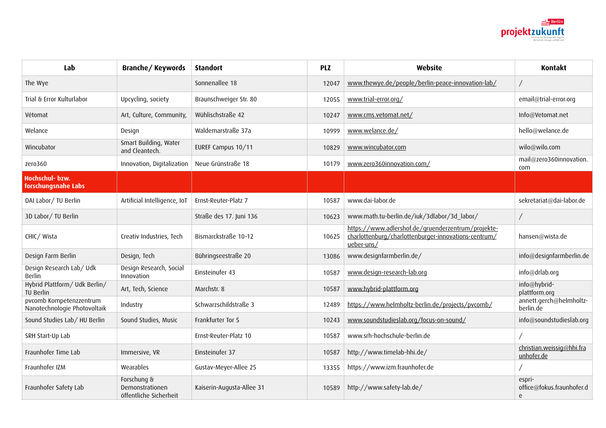

| Lab                                                     | <b>Branche/Keywords</b>                                  | <b>Standort</b>           | <b>PLZ</b> | Website                                                                                                                  | Kontakt                                  |
|---------------------------------------------------------|----------------------------------------------------------|---------------------------|------------|--------------------------------------------------------------------------------------------------------------------------|------------------------------------------|
| The Wye                                                 |                                                          | Sonnenallee 18            | 12047      | www.thewye.de/people/berlin-peace-innovation-lab/                                                                        |                                          |
| Trial & Error Kulturlabor                               | Upcycling, society                                       | Braunschweiger Str. 80    | 12055      | www.trial-error.org/                                                                                                     | email@trial-error.org                    |
| Vétomat                                                 | Art, Culture, Community,                                 | Wühlischstraße 42         | 10247      | www.cms.vetomat.net/                                                                                                     | Info@Vetomat.net                         |
| Welance                                                 | Design                                                   | Waldemarstraße 37a        | 10999      | www.welance.de/                                                                                                          | hello@welance.de                         |
| Wincubator                                              | Smart Building, Water<br>and Cleantech.                  | EUREF Campus 10/11        | 10829      | www.wincubator.com                                                                                                       | wilo@wilo.com                            |
| zero360                                                 | Innovation, Digitalization                               | Neue Grünstraße 18        | 10179      | www.zero360innovation.com/                                                                                               | mail@zero360innovation.<br>com           |
| Hochschul- bzw.<br>forschungsnahe Labs                  |                                                          |                           |            |                                                                                                                          |                                          |
| DAI Labor/ TU Berlin                                    | Artificial Intelligence, IoT                             | Ernst-Reuter-Platz 7      | 10587      | www.dai-labor.de                                                                                                         | sekretariat@dai-labor.de                 |
| 3D Labor/ TU Berlin                                     |                                                          | Straße des 17. Juni 136   | 10623      | www.math.tu-berlin.de/iuk/3dlabor/3d labor/                                                                              | $\sqrt{2}$                               |
| CHIC/ Wista                                             | Creativ Industries, Tech                                 | Bismarckstraße 10-12      | 10625      | https://www.adlershof.de/gruenderzentrum/projekte-<br>charlottenburg/charlottenburger-innovations-centrum/<br>ueber-uns/ | hansen@wista.de                          |
| Design Farm Berlin                                      | Design, Tech                                             | Bühringseestraße 20       | 13086      | www.designfarmberlin.de/                                                                                                 | info@designfarmberlin.de                 |
| Design Research Lab/ Udk<br>Berlin                      | Design Research, Social<br>Innovation                    | Einsteinufer 43           | 10587      | www.design-research-lab.org                                                                                              | info@drlab.org                           |
| Hybrid Plattform/ Udk Berlin/<br><b>TU Berlin</b>       | Art, Tech, Science                                       | Marchstr. 8               | 10587      | www.hybrid-plattform.org                                                                                                 | info@hybrid-<br>plattform.org            |
| pvcomb Kompetenzzentrum<br>Nanotechnologie Photovoltaik | Industry                                                 | Schwarzschildstraße 3     | 12489      | https://www.helmholtz-berlin.de/projects/pvcomb/                                                                         | annett.gerch@helmholtz-<br>berlin.de     |
| Sound Studies Lab/ HU Berlin                            | Sound Studies, Music                                     | Frankfurter Tor 5         | 10243      | www.soundstudieslab.org/focus-on-sound/                                                                                  | info@soundstudieslab.org                 |
| SRH Start-Up Lab                                        |                                                          | Ernst-Reuter-Platz 10     | 10587      | www.srh-hochschule-berlin.de                                                                                             |                                          |
| Fraunhofer Time Lab                                     | Immersive, VR                                            | Einsteinufer 37           | 10587      | http://www.timelab-hhi.de/                                                                                               | christian.weissig@hhi.fra<br>unhofer.de  |
| Fraunhofer IZM                                          | Wearables                                                | Gustav-Meyer-Allee 25     | 13355      | https://www.izm.fraunhofer.de                                                                                            |                                          |
| Fraunhofer Safety Lab                                   | Forschung &<br>Demonstrationen<br>öffentliche Sicherheit | Kaiserin-Augusta-Allee 31 | 10589      | http://www.safety-lab.de/                                                                                                | espri-<br>office@fokus.fraunhofer.d<br>e |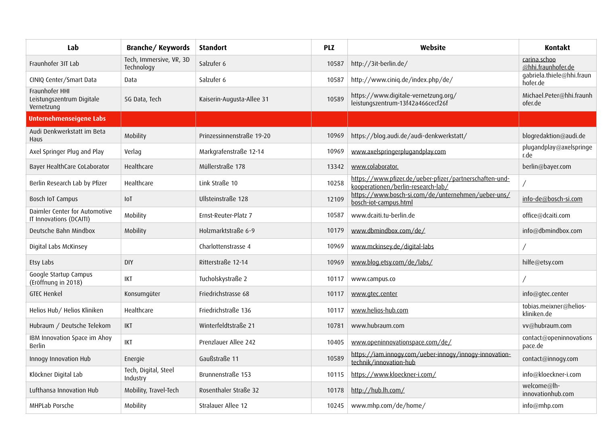| Lab                                                       | Branche/Keywords                      | <b>Standort</b>           | <b>PLZ</b> | Website                                                                                       | <b>Kontakt</b>                        |
|-----------------------------------------------------------|---------------------------------------|---------------------------|------------|-----------------------------------------------------------------------------------------------|---------------------------------------|
| Fraunhofer 3IT Lab                                        | Tech, Immersive, VR, 3D<br>Technology | Salzufer 6                | 10587      | http://3it-berlin.de/                                                                         | carina.schoo<br>@hhi.fraunhofer.de    |
| CINIQ Center/Smart Data                                   | Data                                  | Salzufer 6                | 10587      | http://www.ciniq.de/index.php/de/                                                             | gabriela.thiele@hhi.fraun<br>hofer.de |
| Fraunhofer HHI<br>Leistungszentrum Digitale<br>Vernetzung | 5G Data, Tech                         | Kaiserin-Augusta-Allee 31 | 10589      | https://www.digitale-vernetzung.org/<br>leistungszentrum-13f42a466cecf26f                     | Michael.Peter@hhi.fraunh<br>ofer.de   |
| <b>Unternehmenseigene Labs</b>                            |                                       |                           |            |                                                                                               |                                       |
| Audi Denkwerkstatt im Beta<br><b>Haus</b>                 | Mobility                              | Prinzessinnenstraße 19-20 | 10969      | https://blog.audi.de/audi-denkwerkstatt/                                                      | blogredaktion@audi.de                 |
| Axel Springer Plug and Play                               | Verlag                                | Markgrafenstraße 12-14    | 10969      | www.axelspringerplugandplay.com                                                               | plugandplay@axelspringe<br>r.de       |
| Bayer HealthCare CoLaborator                              | Healthcare                            | Müllerstraße 178          | 13342      | www.colaborator.                                                                              | berlin@bayer.com                      |
| Berlin Research Lab by Pfizer                             | Healthcare                            | Link Straße 10            | 10258      | https://www.pfizer.de/ueber-pfizer/partnerschaften-und-<br>kooperationen/berlin-research-lab/ |                                       |
| Bosch IoT Campus                                          | I <sub>0</sub>                        | Ullsteinstraße 128        | 12109      | https://www.bosch-si.com/de/unternehmen/ueber-uns/<br>bosch-iot-campus.html                   | info-de@bosch-si.com                  |
| Daimler Center for Automotive<br>IT Innovations (DCAITI)  | Mobility                              | Ernst-Reuter-Platz 7      | 10587      | www.dcaiti.tu-berlin.de                                                                       | office@dcaiti.com                     |
| Deutsche Bahn Mindbox                                     | Mobility                              | Holzmarktstraße 6-9       | 10179      | www.dbmindbox.com/de/                                                                         | info@dbmindbox.com                    |
| Digital Labs McKinsey                                     |                                       | Charlottenstrasse 4       | 10969      | www.mckinsey.de/digital-labs                                                                  |                                       |
| Etsy Labs                                                 | <b>DIY</b>                            | Ritterstraße 12-14        | 10969      | www.blog.etsy.com/de/labs/                                                                    | hilfe@etsy.com                        |
| Google Startup Campus<br>(Eröffnung in 2018)              | <b>IKT</b>                            | Tucholskystraße 2         | 10117      | www.campus.co                                                                                 |                                       |
| <b>GTEC Henkel</b>                                        | Konsumgüter                           | Friedrichstrasse 68       | 10117      | www.gtec.center                                                                               | info@gtec.center                      |
| Helios Hub/ Helios Kliniken                               | Healthcare                            | Friedrichstraße 136       | 10117      | www.helios-hub.com                                                                            | tobias.meixner@helios-<br>kliniken.de |
| Hubraum / Deutsche Telekom                                | <b>IKT</b>                            | Winterfeldtstraße 21      | 10781      | www.hubraum.com                                                                               | vv@hubraum.com                        |
| IBM Innovation Space im Ahoy<br>Berlin                    | <b>IKT</b>                            | Prenzlauer Allee 242      | 10405      | www.openinnovationspace.com/de/                                                               | contact@openinnovations<br>pace.de    |
| Innogy Innovation Hub                                     | Energie                               | Gaußstraße 11             | 10589      | https://iam.innogy.com/ueber-innogy/innogy-innovation-<br>technik/innovation-hub              | contact@innogy.com                    |
| Klöckner Digital Lab                                      | Tech, Digital, Steel<br>Industry      | Brunnenstraße 153         | 10115      | https://www.kloeckner-i.com/                                                                  | info@kloeckner-i.com                  |
| Lufthansa Innovation Hub                                  | Mobility, Travel-Tech                 | Rosenthaler Straße 32     | 10178      | http://hub.lh.com/                                                                            | welcome@lh-<br>innovationhub.com      |
| MHPLab Porsche                                            | Mobility                              | Stralauer Allee 12        | 10245      | www.mhp.com/de/home/                                                                          | info@mhp.com                          |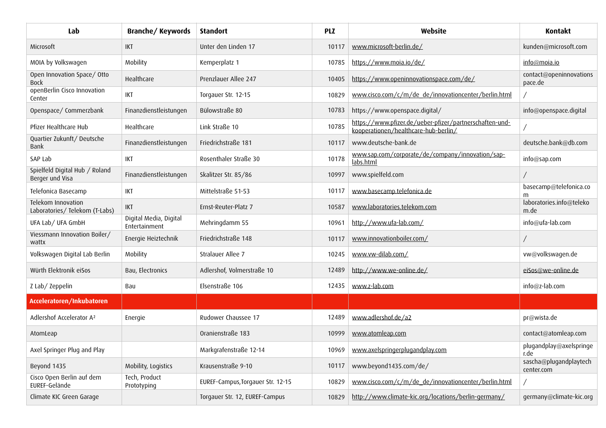| Lab                                                  | Branche/Keywords                        | <b>Standort</b>                   | <b>PLZ</b> | Website                                                                                         | Kontakt                              |
|------------------------------------------------------|-----------------------------------------|-----------------------------------|------------|-------------------------------------------------------------------------------------------------|--------------------------------------|
| Microsoft                                            | IKT                                     | Unter den Linden 17               | 10117      | www.microsoft-berlin.de/                                                                        | kunden@microsoft.com                 |
| MOIA by Volkswagen                                   | Mobility                                | Kemperplatz 1                     | 10785      | https://www.moia.io/de/                                                                         | <u>info@moia.io</u>                  |
| Open Innovation Space/ Otto<br><b>Bock</b>           | Healthcare                              | Prenzlauer Allee 247              | 10405      | https://www.openinnovationspace.com/de/                                                         | contact@openinnovations<br>pace.de   |
| openBerlin Cisco Innovation<br>Center                | IKT                                     | Torgauer Str. 12-15               | 10829      | www.cisco.com/c/m/de_de/innovationcenter/berlin.html                                            |                                      |
| Openspace/ Commerzbank                               | Finanzdienstleistungen                  | Bülowstraße 80                    | 10783      | https://www.openspace.digital/                                                                  | info@openspace.digital               |
| Pfizer Healthcare Hub                                | Healthcare                              | Link Straße 10                    | 10785      | https://www.pfizer.de/ueber-pfizer/partnerschaften-und-<br>kooperationen/healthcare-hub-berlin/ |                                      |
| Quartier Zukunft/Deutsche<br>Bank                    | Finanzdienstleistungen                  | Friedrichstraße 181               | 10117      | www.deutsche-bank.de                                                                            | deutsche.bank@db.com                 |
| SAP Lab                                              | IKT                                     | Rosenthaler Straße 30             | 10178      | www.sap.com/corporate/de/company/innovation/sap-<br>labs.html                                   | info@sap.com                         |
| Spielfeld Digital Hub / Roland<br>Berger und Visa    | Finanzdienstleistungen                  | Skalitzer Str. 85/86              | 10997      | www.spielfeld.com                                                                               |                                      |
| Telefonica Basecamp                                  | IKT                                     | Mittelstraße 51-53                | 10117      | www.basecamp.telefonica.de                                                                      | basecamp@telefonica.co<br>m          |
| Telekom Innovation<br>Laboratories/ Telekom (T-Labs) | IKT                                     | Ernst-Reuter-Platz 7              | 10587      | www.laboratories.telekom.com                                                                    | laboratories.info@teleko<br>m.de     |
| UFA Lab/ UFA GmbH                                    | Digital Media, Digital<br>Entertainment | Mehringdamm 55                    | 10961      | http://www.ufa-lab.com/                                                                         | info@ufa-lab.com                     |
| Viessmann Innovation Boiler/<br>wattx                | Energie Heiztechnik                     | Friedrichstraße 148               | 10117      | www.innovationboiler.com/                                                                       |                                      |
| Volkswagen Digital Lab Berlin                        | Mobility                                | Stralauer Allee 7                 | 10245      | www.vw-dilab.com/                                                                               | vw@volkswagen.de                     |
| Würth Elektronik eiSos                               | Bau, Electronics                        | Adlershof, Volmerstraße 10        | 12489      | http://www.we-online.de/                                                                        | eiSos@we-online.de                   |
| Z Lab/Zeppelin                                       | Bau                                     | Elsenstraße 106                   | 12435      | www.z-lab.com                                                                                   | info@z-lab.com                       |
| Acceleratoren/Inkubatoren                            |                                         |                                   |            |                                                                                                 |                                      |
| Adlershof Accelerator A <sup>2</sup>                 | Energie                                 | Rudower Chaussee 17               | 12489      | www.adlershof.de/a2                                                                             | pr@wista.de                          |
| AtomLeap                                             |                                         | Oranienstraße 183                 | 10999      | www.atomleap.com                                                                                | contact@atomleap.com                 |
| Axel Springer Plug and Play                          |                                         | Markgrafenstraße 12-14            | 10969      | www.axelspringerplugandplay.com                                                                 | plugandplay@axelspringe<br>r.de      |
| Beyond 1435                                          | Mobility, Logistics                     | Krausenstraße 9-10                | 10117      | www.beyond1435.com/de/                                                                          | sascha@plugandplaytech<br>center.com |
| Cisco Open Berlin auf dem<br>EUREF-Gelände           | Tech, Product<br>Prototyping            | EUREF-Campus, Torgauer Str. 12-15 | 10829      | www.cisco.com/c/m/de_de/innovationcenter/berlin.html                                            |                                      |
| Climate KIC Green Garage                             |                                         | Torgauer Str. 12, EUREF-Campus    | 10829      | http://www.climate-kic.org/locations/berlin-germany/                                            | germany@climate-kic.org              |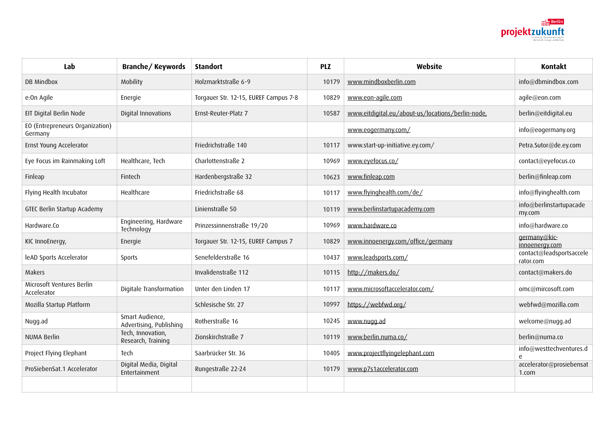

| Lab                                        | <b>Branche/Keywords</b>                    | <b>Standort</b>                       | <b>PLZ</b> | Website                                           | <b>Kontakt</b>                        |
|--------------------------------------------|--------------------------------------------|---------------------------------------|------------|---------------------------------------------------|---------------------------------------|
| DB Mindbox                                 | Mobility                                   | Holzmarktstraße 6-9                   | 10179      | www.mindboxberlin.com                             | info@dbmindbox.com                    |
| e:On Agile                                 | Energie                                    | Torgauer Str. 12-15, EUREF Campus 7-8 | 10829      | www.eon-agile.com                                 | agile@eon.com                         |
| EIT Digital Berlin Node                    | Digital Innovations                        | Ernst-Reuter-Platz 7                  | 10587      | www.eitdigital.eu/about-us/locations/berlin-node, | berlin@eitdigital.eu                  |
| EO (Entrepreneurs Organization)<br>Germany |                                            |                                       |            | www.eogermany.com/                                | info@eogermany.org                    |
| Ernst Young Accelerator                    |                                            | Friedrichstraße 140                   | 10117      | www.start-up-initiative.ey.com/                   | Petra.Sutor@de.ey.com                 |
| Eye Focus im Rainmaking Loft               | Healthcare, Tech                           | Charlottenstraße 2                    | 10969      | www.eyefocus.co/                                  | contact@eyefocus.co                   |
| Finleap                                    | Fintech                                    | Hardenbergstraße 32                   | 10623      | www.finleap.com                                   | berlin@finleap.com                    |
| Flying Health Incubator                    | Healthcare                                 | Friedrichstraße 68                    | 10117      | www.flyinghealth.com/de/                          | info@flyinghealth.com                 |
| GTEC Berlin Startup Academy                |                                            | Linienstraße 50                       | 10119      | www.berlinstartupacademy.com                      | info@berlinstartupacade<br>my.com     |
| Hardware.Co                                | Engineering, Hardware<br>Technology        | Prinzessinnenstraße 19/20             | 10969      | www.hardware.co                                   | info@hardware.co                      |
| KIC InnoEnergy,                            | Energie                                    | Torgauer Str. 12-15, EUREF Campus 7   | 10829      | www.innoenergy.com/office/germany                 | germany@kic-<br>innoenergy.com        |
| leAD Sports Accelerator                    | Sports                                     | Senefelderstraße 16                   | 10437      | www.leadsports.com/                               | contact@leadsportsaccele<br>rator.com |
| Makers                                     |                                            | Invalidenstraße 112                   | 10115      | http://makers.do/                                 | contact@makers.do                     |
| Microsoft Ventures Berlin<br>Accelerator   | Digitale Transformation                    | Unter den Linden 17                   | 10117      | www.microsoftaccelerator.com/                     | omc@mircosoft.com                     |
| Mozilla Startup Platform                   |                                            | Schlesische Str. 27                   | 10997      | https://webfwd.org/                               | webfwd@mozilla.com                    |
| Nugg.ad                                    | Smart Audience,<br>Advertising, Publishing | Rotherstraße 16                       | 10245      | www.nugg.ad                                       | welcome@nugg.ad                       |
| NUMA Berlin                                | Tech, Innovation,<br>Research, Training    | Zionskirchstraße 7                    | 10119      | www.berlin.numa.co/                               | berlin@numa.co                        |
| Project Flying Elephant                    | Tech                                       | Saarbrücker Str. 36                   | 10405      | www.projectflyingelephant.com                     | info@westtechventures.d<br>$\epsilon$ |
| ProSiebenSat.1 Accelerator                 | Digital Media, Digital<br>Entertainment    | Rungestraße 22-24                     | 10179      | www.p7s1accelerator.com                           | accelerator@prosiebensat<br>1.com     |
|                                            |                                            |                                       |            |                                                   |                                       |